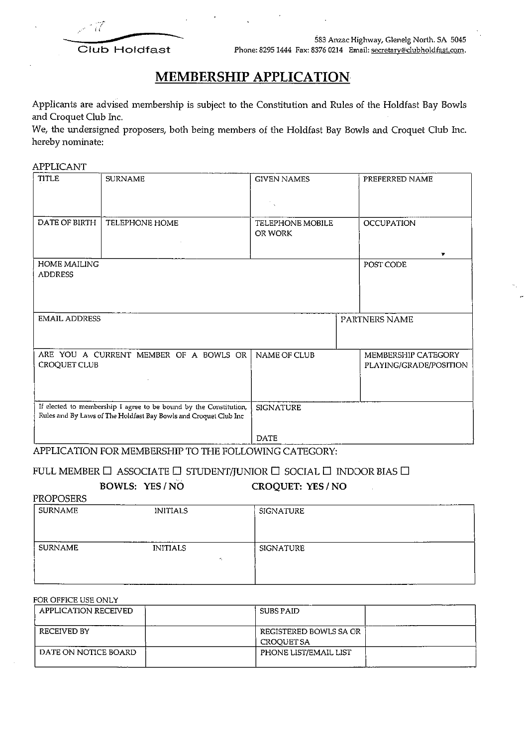

583 Anzac Highway, Glenelg North. SA 5045 Phone: 8295 1444 Fax: 8376 0214 Email: secretary@clubholdfast.com.

## **MEMBERSHIP APPLICATION**

Applicants are advised membership is subject to the Constitution and Rules of the Holdfast Bay Bowls and Croquet Club Inc.

We, the undersigned proposers, both being members of the Holdfast Bay Bowls and Croquet Club Inc. hereby nominate:

**APPLICANT** 

| <b>TITLE</b>                                                                                                                          | <b>SURNAME</b> | <b>GIVEN NAMES</b>                 | PREFERRED NAME                                |  |
|---------------------------------------------------------------------------------------------------------------------------------------|----------------|------------------------------------|-----------------------------------------------|--|
|                                                                                                                                       |                |                                    |                                               |  |
| DATE OF BIRTH                                                                                                                         | TELEPHONE HOME | <b>TELEPHONE MOBILE</b><br>OR WORK | <b>OCCUPATION</b>                             |  |
| <b>HOME MAILING</b><br><b>ADDRESS</b>                                                                                                 |                |                                    | POST CODE                                     |  |
| <b>EMAIL ADDRESS</b>                                                                                                                  |                |                                    | PARTNERS NAME                                 |  |
| ARE YOU A CURRENT MEMBER OF A BOWLS OR<br>CROQUET CLUB                                                                                |                | <b>NAME OF CLUB</b>                | MEMBERSHIP CATEGORY<br>PLAYING/GRADE/POSITION |  |
| If elected to membership I agree to be bound by the Constitution,<br>Rules and By Laws of The Holdfast Bay Bowls and Croquet Club Inc |                | <b>SIGNATURE</b>                   |                                               |  |
|                                                                                                                                       |                | <b>DATE</b>                        |                                               |  |

APPLICATION FOR MEMBERSHIP TO THE FOLLOWING CATEGORY:

## FULL MEMBER  $\Box$  ASSOCIATE  $\Box$  STUDENT/JUNIOR  $\Box$  SOCIAL  $\Box$  INDOOR BIAS  $\Box$ BOWLS: YES/NO **CROQUET: YES / NO**

**PROPOSERS** 

| SURNAME        | <b>INITIALS</b> | SIGNATURE |
|----------------|-----------------|-----------|
|                |                 |           |
|                |                 |           |
|                |                 |           |
| <b>SURNAME</b> | <b>INITIALS</b> | SIGNATURE |
|                |                 | ÷.        |
|                |                 |           |
|                |                 |           |

## FOR OFFICE USE ONLY

| APPLICATION RECEIVED | SUBS PAID                                   |  |
|----------------------|---------------------------------------------|--|
| RECEIVED BY          | REGISTERED BOWLS SA OR<br><b>CROOUET SA</b> |  |
| DATE ON NOTICE BOARD | PHONE LIST/EMAIL LIST                       |  |